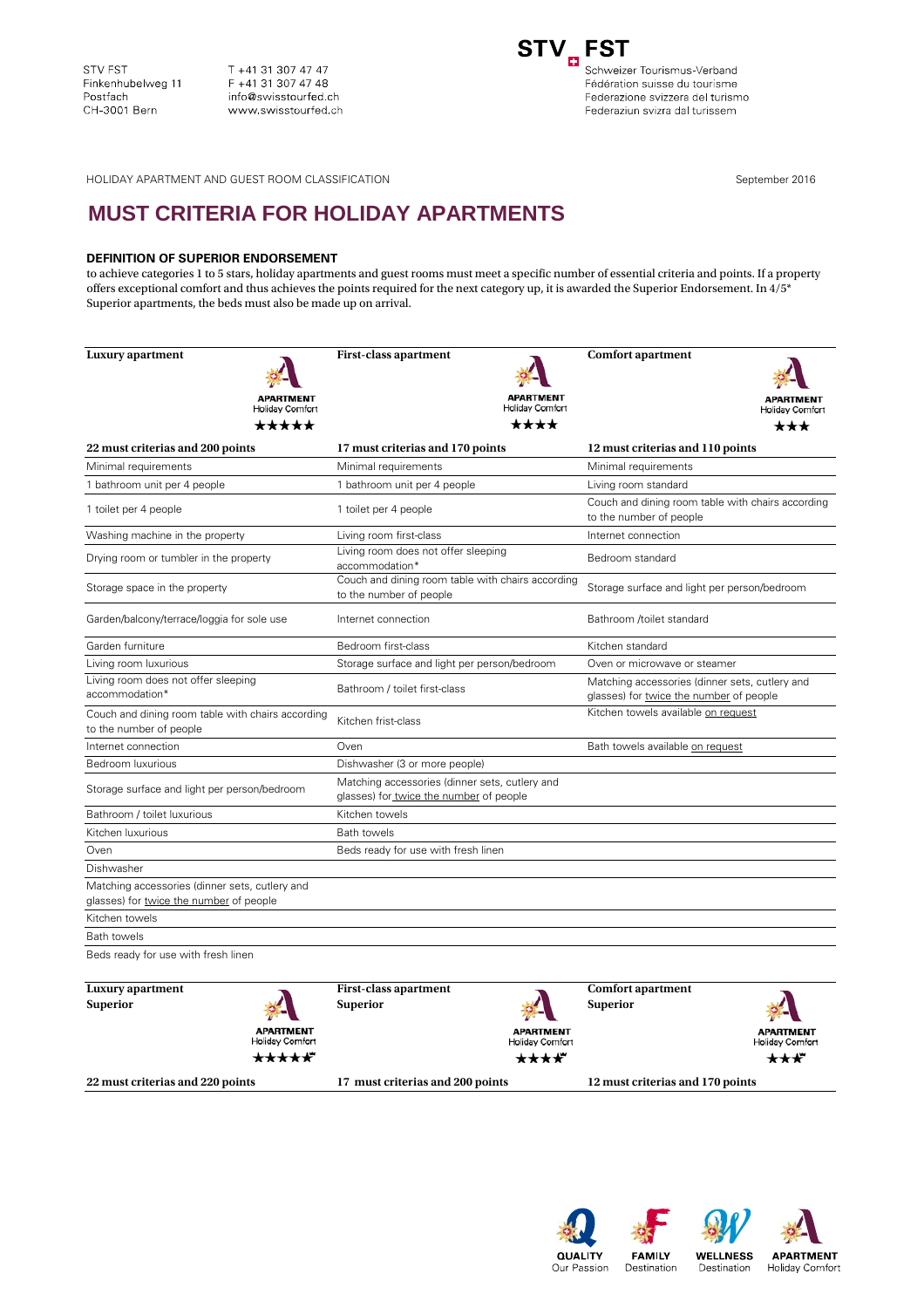T +41 31 307 47 47 F +41 31 307 47 48 info@swisstourfed.ch www.swisstourfed.ch



Fédération suisse du tourisme Federazione svizzera del turismo Federaziun svizra dal turissem

HOLIDAY APARTMENT AND GUEST ROOM CLASSIFICATION September 2016

## **MUST CRITERIA FOR HOLIDAY APARTMENTS**

## **DEFINITION OF SUPERIOR ENDORSEMENT**

to achieve categories 1 to 5 stars, holiday apartments and guest rooms must meet a specific number of essential criteria and points. If a property offers exceptional comfort and thus achieves the points required for the next category up, it is awarded the Superior Endorsement. In  $4/5^*$ Superior apartments, the beds must also be made up on arrival.

| <b>Luxury</b> apartment                                                                   | <b>First-class apartment</b>                                                              | <b>Comfort apartment</b>                                                                  |  |
|-------------------------------------------------------------------------------------------|-------------------------------------------------------------------------------------------|-------------------------------------------------------------------------------------------|--|
|                                                                                           |                                                                                           |                                                                                           |  |
| <b>APARTMENT</b>                                                                          |                                                                                           |                                                                                           |  |
| <b>Holiday Comfort</b>                                                                    | Holiday Comfort                                                                           | Holiday Comfort                                                                           |  |
| *****                                                                                     | ****                                                                                      | ***                                                                                       |  |
| 22 must criterias and 200 points                                                          | 17 must criterias and 170 points                                                          | 12 must criterias and 110 points                                                          |  |
| Minimal requirements                                                                      | Minimal requirements                                                                      | Minimal requirements                                                                      |  |
| 1 bathroom unit per 4 people                                                              | 1 bathroom unit per 4 people                                                              | Living room standard                                                                      |  |
| 1 toilet per 4 people                                                                     | 1 toilet per 4 people                                                                     | Couch and dining room table with chairs according<br>to the number of people              |  |
| Washing machine in the property                                                           | Living room first-class                                                                   | Internet connection                                                                       |  |
| Drying room or tumbler in the property                                                    | Living room does not offer sleeping<br>accommodation*                                     | Bedroom standard                                                                          |  |
| Storage space in the property                                                             | Couch and dining room table with chairs according<br>to the number of people              | Storage surface and light per person/bedroom                                              |  |
| Garden/balcony/terrace/loggia for sole use                                                | Internet connection                                                                       | Bathroom /toilet standard                                                                 |  |
| Garden furniture                                                                          | Bedroom first-class                                                                       | Kitchen standard                                                                          |  |
| Living room luxurious                                                                     | Storage surface and light per person/bedroom                                              | Oven or microwave or steamer                                                              |  |
| Living room does not offer sleeping<br>accommodation*                                     | Bathroom / toilet first-class                                                             | Matching accessories (dinner sets, cutlery and<br>glasses) for twice the number of people |  |
| Couch and dining room table with chairs according<br>to the number of people              | Kitchen frist-class                                                                       | Kitchen towels available on request                                                       |  |
| Internet connection                                                                       | Oven                                                                                      | Bath towels available on request                                                          |  |
| Bedroom luxurious                                                                         | Dishwasher (3 or more people)                                                             |                                                                                           |  |
| Storage surface and light per person/bedroom                                              | Matching accessories (dinner sets, cutlery and<br>glasses) for twice the number of people |                                                                                           |  |
| Bathroom / toilet luxurious                                                               | Kitchen towels                                                                            |                                                                                           |  |
| Kitchen luxurious                                                                         | <b>Bath towels</b>                                                                        |                                                                                           |  |
| Oven                                                                                      | Beds ready for use with fresh linen                                                       |                                                                                           |  |
| Dishwasher                                                                                |                                                                                           |                                                                                           |  |
| Matching accessories (dinner sets, cutlery and<br>glasses) for twice the number of people |                                                                                           |                                                                                           |  |
| Kitchen towels                                                                            |                                                                                           |                                                                                           |  |
| <b>Bath towels</b>                                                                        |                                                                                           |                                                                                           |  |
| Beds ready for use with fresh linen                                                       |                                                                                           |                                                                                           |  |
| Luxury apartment<br>Sunerior                                                              | First-class apartment<br>Sunerior                                                         | Comfort apartment<br>Sunerior                                                             |  |